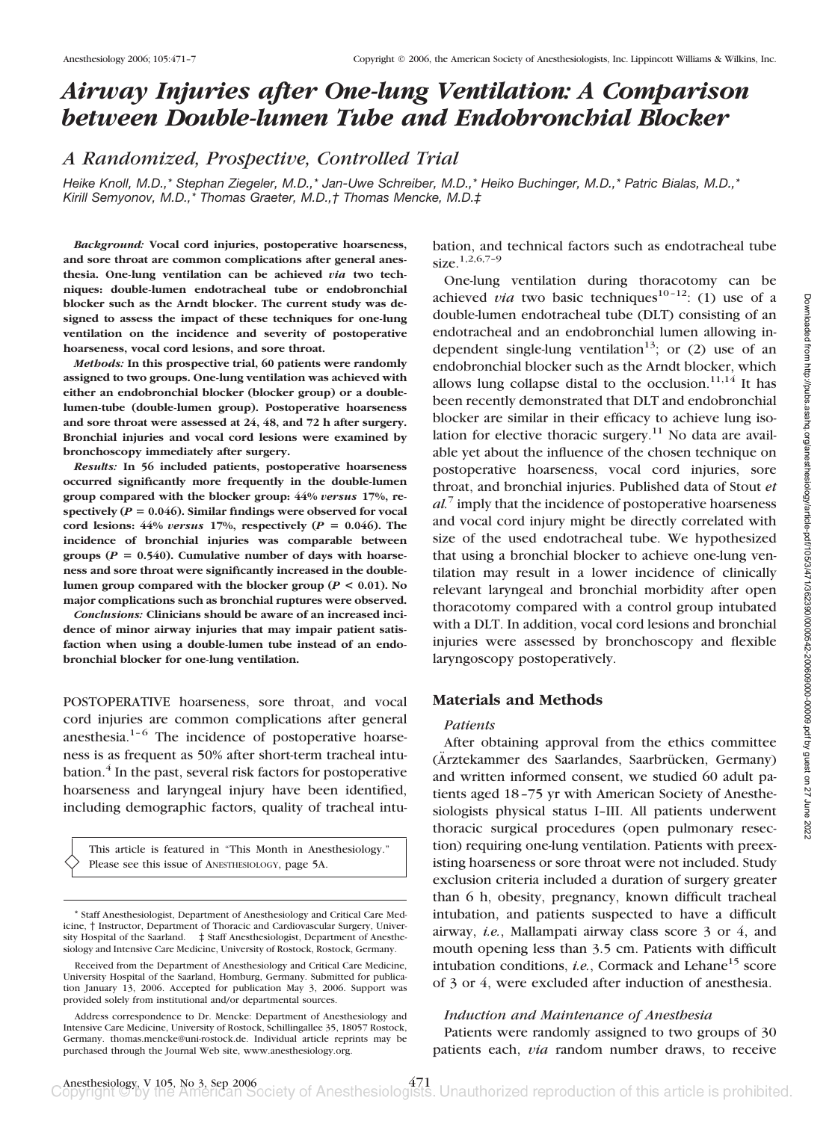# *Airway Injuries after One-lung Ventilation: A Comparison between Double-lumen Tube and Endobronchial Blocker*

*A Randomized, Prospective, Controlled Trial*

*Heike Knoll, M.D.,\* Stephan Ziegeler, M.D.,\* Jan-Uwe Schreiber, M.D.,\* Heiko Buchinger, M.D.,\* Patric Bialas, M.D.,\* Kirill Semyonov, M.D.,\* Thomas Graeter, M.D.,† Thomas Mencke, M.D.‡*

*Background:* **Vocal cord injuries, postoperative hoarseness, and sore throat are common complications after general anesthesia. One-lung ventilation can be achieved** *via* **two techniques: double-lumen endotracheal tube or endobronchial blocker such as the Arndt blocker. The current study was designed to assess the impact of these techniques for one-lung ventilation on the incidence and severity of postoperative hoarseness, vocal cord lesions, and sore throat.**

*Methods:* **In this prospective trial, 60 patients were randomly assigned to two groups. One-lung ventilation was achieved with either an endobronchial blocker (blocker group) or a doublelumen-tube (double-lumen group). Postoperative hoarseness and sore throat were assessed at 24, 48, and 72 h after surgery. Bronchial injuries and vocal cord lesions were examined by bronchoscopy immediately after surgery.**

*Results:* **In 56 included patients, postoperative hoarseness occurred significantly more frequently in the double-lumen group compared with the blocker group: 44%** *versus* **17%, re**spectively ( $P = 0.046$ ). Similar findings were observed for vocal cord lesions:  $44\%$  *versus* 17%, respectively ( $P = 0.046$ ). The **incidence of bronchial injuries was comparable between** groups ( $P = 0.540$ ). Cumulative number of days with hoarse**ness and sore throat were significantly increased in the doublelumen group compared with the blocker group (***P* **< 0.01). No major complications such as bronchial ruptures were observed.**

*Conclusions:* **Clinicians should be aware of an increased incidence of minor airway injuries that may impair patient satisfaction when using a double-lumen tube instead of an endobronchial blocker for one-lung ventilation.**

POSTOPERATIVE hoarseness, sore throat, and vocal cord injuries are common complications after general anesthesia.1–6 The incidence of postoperative hoarseness is as frequent as 50% after short-term tracheal intubation.<sup>4</sup> In the past, several risk factors for postoperative hoarseness and laryngeal injury have been identified, including demographic factors, quality of tracheal intu-

This article is featured in "This Month in Anesthesiology." Please see this issue of ANESTHESIOLOGY, page 5A.

bation, and technical factors such as endotracheal tube size.<sup>1,2,6,7-9</sup>

One-lung ventilation during thoracotomy can be achieved *via* two basic techniques<sup>10–12</sup>: (1) use of a double-lumen endotracheal tube (DLT) consisting of an endotracheal and an endobronchial lumen allowing independent single-lung ventilation<sup>13</sup>; or  $(2)$  use of an endobronchial blocker such as the Arndt blocker, which allows lung collapse distal to the occlusion.<sup>11,14</sup> It has been recently demonstrated that DLT and endobronchial blocker are similar in their efficacy to achieve lung isolation for elective thoracic surgery.<sup>11</sup> No data are available yet about the influence of the chosen technique on postoperative hoarseness, vocal cord injuries, sore throat, and bronchial injuries. Published data of Stout *et al.*<sup>7</sup> imply that the incidence of postoperative hoarseness and vocal cord injury might be directly correlated with size of the used endotracheal tube. We hypothesized that using a bronchial blocker to achieve one-lung ventilation may result in a lower incidence of clinically relevant laryngeal and bronchial morbidity after open thoracotomy compared with a control group intubated with a DLT. In addition, vocal cord lesions and bronchial injuries were assessed by bronchoscopy and flexible laryngoscopy postoperatively.

## **Materials and Methods**

### *Patients*

After obtaining approval from the ethics committee (Ärztekammer des Saarlandes, Saarbrücken, Germany) and written informed consent, we studied 60 adult patients aged 18–75 yr with American Society of Anesthesiologists physical status I–III. All patients underwent thoracic surgical procedures (open pulmonary resection) requiring one-lung ventilation. Patients with preexisting hoarseness or sore throat were not included. Study exclusion criteria included a duration of surgery greater than 6 h, obesity, pregnancy, known difficult tracheal intubation, and patients suspected to have a difficult airway, *i.e.*, Mallampati airway class score 3 or 4, and mouth opening less than 3.5 cm. Patients with difficult intubation conditions, *i.e.*, Cormack and Lehane<sup>15</sup> score of 3 or 4, were excluded after induction of anesthesia.

## *Induction and Maintenance of Anesthesia*

Patients were randomly assigned to two groups of 30 patients each, *via* random number draws, to receive

<sup>\*</sup> Staff Anesthesiologist, Department of Anesthesiology and Critical Care Medicine, † Instructor, Department of Thoracic and Cardiovascular Surgery, University Hospital of the Saarland. ‡ Staff Anesthesiologist, Department of Anesthesiology and Intensive Care Medicine, University of Rostock, Rostock, Germany.

Received from the Department of Anesthesiology and Critical Care Medicine, University Hospital of the Saarland, Homburg, Germany. Submitted for publication January 13, 2006. Accepted for publication May 3, 2006. Support was provided solely from institutional and/or departmental sources.

Address correspondence to Dr. Mencke: Department of Anesthesiology and Intensive Care Medicine, University of Rostock, Schillingallee 35, 18057 Rostock, Germany. thomas.mencke@uni-rostock.de. Individual article reprints may be purchased through the Journal Web site, www.anesthesiology.org.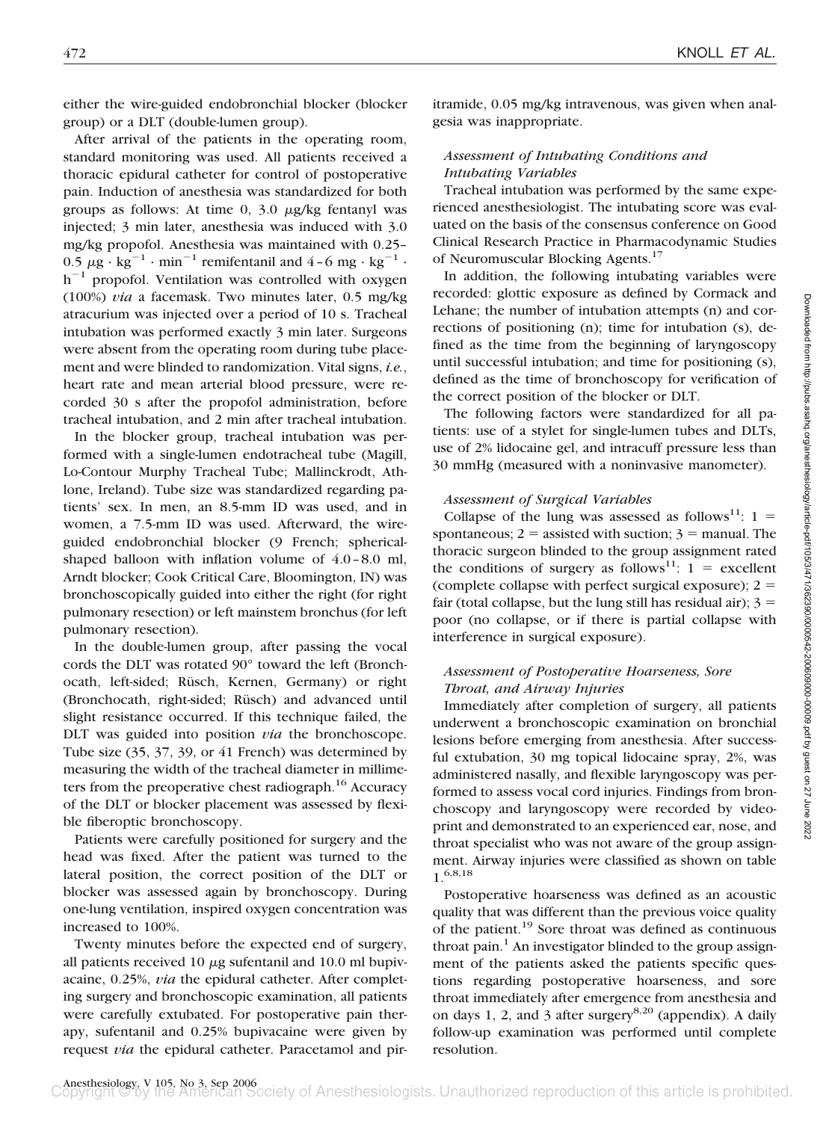either the wire-guided endobronchial blocker (blocker group) or a DLT (double-lumen group).

After arrival of the patients in the operating room, standard monitoring was used. All patients received a thoracic epidural catheter for control of postoperative pain. Induction of anesthesia was standardized for both groups as follows: At time  $0$ ,  $3.0 \mu g/kg$  fentanyl was injected; 3 min later, anesthesia was induced with 3.0 mg/kg propofol. Anesthesia was maintained with 0.25– 0.5  $\mu$ g · kg<sup>-1</sup> · min<sup>-1</sup> remifentanil and 4-6 mg · kg<sup>-1</sup> ·  $h^{-1}$  propofol. Ventilation was controlled with oxygen (100%) *via* a facemask. Two minutes later, 0.5 mg/kg atracurium was injected over a period of 10 s. Tracheal intubation was performed exactly 3 min later. Surgeons were absent from the operating room during tube placement and were blinded to randomization. Vital signs, *i.e.*, heart rate and mean arterial blood pressure, were recorded 30 s after the propofol administration, before tracheal intubation, and 2 min after tracheal intubation.

In the blocker group, tracheal intubation was performed with a single-lumen endotracheal tube (Magill, Lo-Contour Murphy Tracheal Tube; Mallinckrodt, Athlone, Ireland). Tube size was standardized regarding patients' sex. In men, an 8.5-mm ID was used, and in women, a 7.5-mm ID was used. Afterward, the wireguided endobronchial blocker (9 French; sphericalshaped balloon with inflation volume of 4.0–8.0 ml, Arndt blocker; Cook Critical Care, Bloomington, IN) was bronchoscopically guided into either the right (for right pulmonary resection) or left mainstem bronchus (for left pulmonary resection).

In the double-lumen group, after passing the vocal cords the DLT was rotated 90° toward the left (Bronchocath, left-sided; Rüsch, Kernen, Germany) or right (Bronchocath, right-sided; Rüsch) and advanced until slight resistance occurred. If this technique failed, the DLT was guided into position *via* the bronchoscope. Tube size (35, 37, 39, or 41 French) was determined by measuring the width of the tracheal diameter in millimeters from the preoperative chest radiograph.<sup>16</sup> Accuracy of the DLT or blocker placement was assessed by flexible fiberoptic bronchoscopy.

Patients were carefully positioned for surgery and the head was fixed. After the patient was turned to the lateral position, the correct position of the DLT or blocker was assessed again by bronchoscopy. During one-lung ventilation, inspired oxygen concentration was increased to 100%.

Twenty minutes before the expected end of surgery, all patients received 10  $\mu$ g sufentanil and 10.0 ml bupivacaine, 0.25%, *via* the epidural catheter. After completing surgery and bronchoscopic examination, all patients were carefully extubated. For postoperative pain therapy, sufentanil and 0.25% bupivacaine were given by request *via* the epidural catheter. Paracetamol and piritramide, 0.05 mg/kg intravenous, was given when analgesia was inappropriate.

# *Assessment of Intubating Conditions and Intubating Variables*

Tracheal intubation was performed by the same experienced anesthesiologist. The intubating score was evaluated on the basis of the consensus conference on Good Clinical Research Practice in Pharmacodynamic Studies of Neuromuscular Blocking Agents.17

In addition, the following intubating variables were recorded: glottic exposure as defined by Cormack and Lehane; the number of intubation attempts (n) and corrections of positioning (n); time for intubation (s), defined as the time from the beginning of laryngoscopy until successful intubation; and time for positioning (s), defined as the time of bronchoscopy for verification of the correct position of the blocker or DLT.

The following factors were standardized for all patients: use of a stylet for single-lumen tubes and DLTs, use of 2% lidocaine gel, and intracuff pressure less than 30 mmHg (measured with a noninvasive manometer).

# *Assessment of Surgical Variables*

Collapse of the lung was assessed as follows<sup>11</sup>: 1 = spontaneous;  $2 =$  assisted with suction;  $3 =$  manual. The thoracic surgeon blinded to the group assignment rated the conditions of surgery as follows<sup>11</sup>:  $1 =$  excellent (complete collapse with perfect surgical exposure);  $2 =$ fair (total collapse, but the lung still has residual air);  $3 =$ poor (no collapse, or if there is partial collapse with interference in surgical exposure).

# *Assessment of Postoperative Hoarseness, Sore Throat, and Airway Injuries*

Immediately after completion of surgery, all patients underwent a bronchoscopic examination on bronchial lesions before emerging from anesthesia. After successful extubation, 30 mg topical lidocaine spray, 2%, was administered nasally, and flexible laryngoscopy was performed to assess vocal cord injuries. Findings from bronchoscopy and laryngoscopy were recorded by videoprint and demonstrated to an experienced ear, nose, and throat specialist who was not aware of the group assignment. Airway injuries were classified as shown on table 1.6,8,18

Postoperative hoarseness was defined as an acoustic quality that was different than the previous voice quality of the patient.19 Sore throat was defined as continuous throat pain.<sup>1</sup> An investigator blinded to the group assignment of the patients asked the patients specific questions regarding postoperative hoarseness, and sore throat immediately after emergence from anesthesia and on days 1, 2, and 3 after surgery<sup>8,20</sup> (appendix). A daily follow-up examination was performed until complete resolution.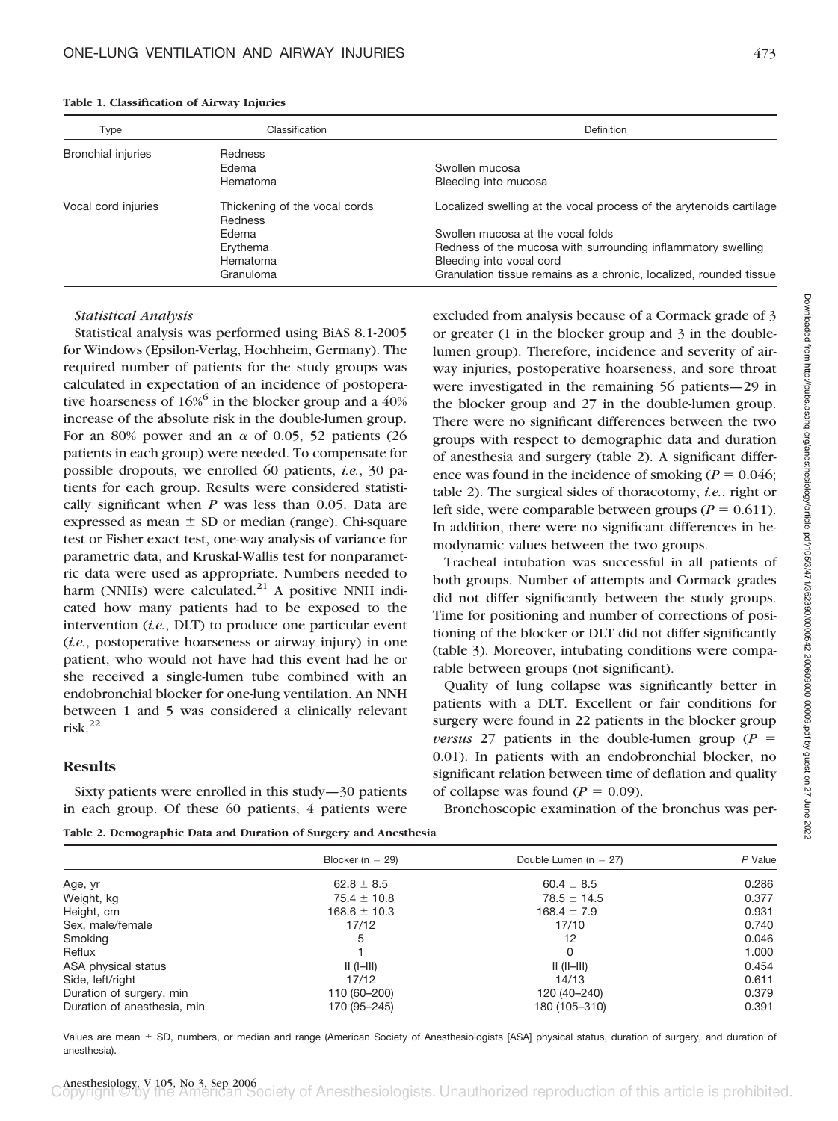| Type                      | Classification                                  | Definition                                                          |  |
|---------------------------|-------------------------------------------------|---------------------------------------------------------------------|--|
| <b>Bronchial injuries</b> | <b>Redness</b>                                  |                                                                     |  |
|                           | Edema                                           | Swollen mucosa                                                      |  |
|                           | Hematoma                                        | Bleeding into mucosa                                                |  |
| Vocal cord injuries       | Thickening of the vocal cords<br><b>Redness</b> | Localized swelling at the vocal process of the arytenoids cartilage |  |
|                           | Edema                                           | Swollen mucosa at the vocal folds                                   |  |
|                           | Erythema                                        | Redness of the mucosa with surrounding inflammatory swelling        |  |
|                           | Hematoma                                        | Bleeding into vocal cord                                            |  |
|                           | Granuloma                                       | Granulation tissue remains as a chronic, localized, rounded tissue  |  |

#### **Table 1. Classification of Airway Injuries**

## *Statistical Analysis*

Statistical analysis was performed using BiAS 8.1-2005 for Windows (Epsilon-Verlag, Hochheim, Germany). The required number of patients for the study groups was calculated in expectation of an incidence of postoperative hoarseness of  $16\%$ <sup>6</sup> in the blocker group and a 40% increase of the absolute risk in the double-lumen group. For an 80% power and an  $\alpha$  of 0.05, 52 patients (26 patients in each group) were needed. To compensate for possible dropouts, we enrolled 60 patients, *i.e.*, 30 patients for each group. Results were considered statistically significant when *P* was less than 0.05. Data are expressed as mean  $\pm$  SD or median (range). Chi-square test or Fisher exact test, one-way analysis of variance for parametric data, and Kruskal-Wallis test for nonparametric data were used as appropriate. Numbers needed to harm (NNHs) were calculated. $21$  A positive NNH indicated how many patients had to be exposed to the intervention (*i.e.*, DLT) to produce one particular event (*i.e.*, postoperative hoarseness or airway injury) in one patient, who would not have had this event had he or she received a single-lumen tube combined with an endobronchial blocker for one-lung ventilation. An NNH between 1 and 5 was considered a clinically relevant risk. $^{22}$ 

## **Results**

Sixty patients were enrolled in this study—30 patients in each group. Of these 60 patients, 4 patients were excluded from analysis because of a Cormack grade of 3 or greater (1 in the blocker group and 3 in the doublelumen group). Therefore, incidence and severity of airway injuries, postoperative hoarseness, and sore throat were investigated in the remaining 56 patients—29 in the blocker group and 27 in the double-lumen group. There were no significant differences between the two groups with respect to demographic data and duration of anesthesia and surgery (table 2). A significant difference was found in the incidence of smoking ( $P = 0.046$ ; table 2). The surgical sides of thoracotomy, *i.e.*, right or left side, were comparable between groups ( $P = 0.611$ ). In addition, there were no significant differences in hemodynamic values between the two groups.

Tracheal intubation was successful in all patients of both groups. Number of attempts and Cormack grades did not differ significantly between the study groups. Time for positioning and number of corrections of positioning of the blocker or DLT did not differ significantly (table 3). Moreover, intubating conditions were comparable between groups (not significant).

Quality of lung collapse was significantly better in patients with a DLT. Excellent or fair conditions for surgery were found in 22 patients in the blocker group *versus* 27 patients in the double-lumen group ( $P =$ 0.01). In patients with an endobronchial blocker, no significant relation between time of deflation and quality of collapse was found  $(P = 0.09)$ .

Bronchoscopic examination of the bronchus was per-

**Table 2. Demographic Data and Duration of Surgery and Anesthesia**

|                             | Blocker ( $n = 29$ ) | Double Lumen ( $n = 27$ ) | P Value |
|-----------------------------|----------------------|---------------------------|---------|
| Age, yr                     | $62.8 \pm 8.5$       | $60.4 \pm 8.5$            | 0.286   |
| Weight, kg                  | $75.4 \pm 10.8$      | $78.5 \pm 14.5$           | 0.377   |
| Height, cm                  | $168.6 \pm 10.3$     | $168.4 \pm 7.9$           | 0.931   |
| Sex, male/female            | 17/12                | 17/10                     | 0.740   |
| Smoking                     | 5                    | 12                        | 0.046   |
| Reflux                      |                      |                           | 1.000   |
| ASA physical status         | $   ( -  )$          | $   (  -  )$              | 0.454   |
| Side, left/right            | 17/12                | 14/13                     | 0.611   |
| Duration of surgery, min    | 110 (60-200)         | 120 (40-240)              | 0.379   |
| Duration of anesthesia, min | 170 (95–245)         | 180 (105–310)             | 0.391   |

Values are mean  $\pm$  SD, numbers, or median and range (American Society of Anesthesiologists [ASA] physical status, duration of surgery, and duration of anesthesia).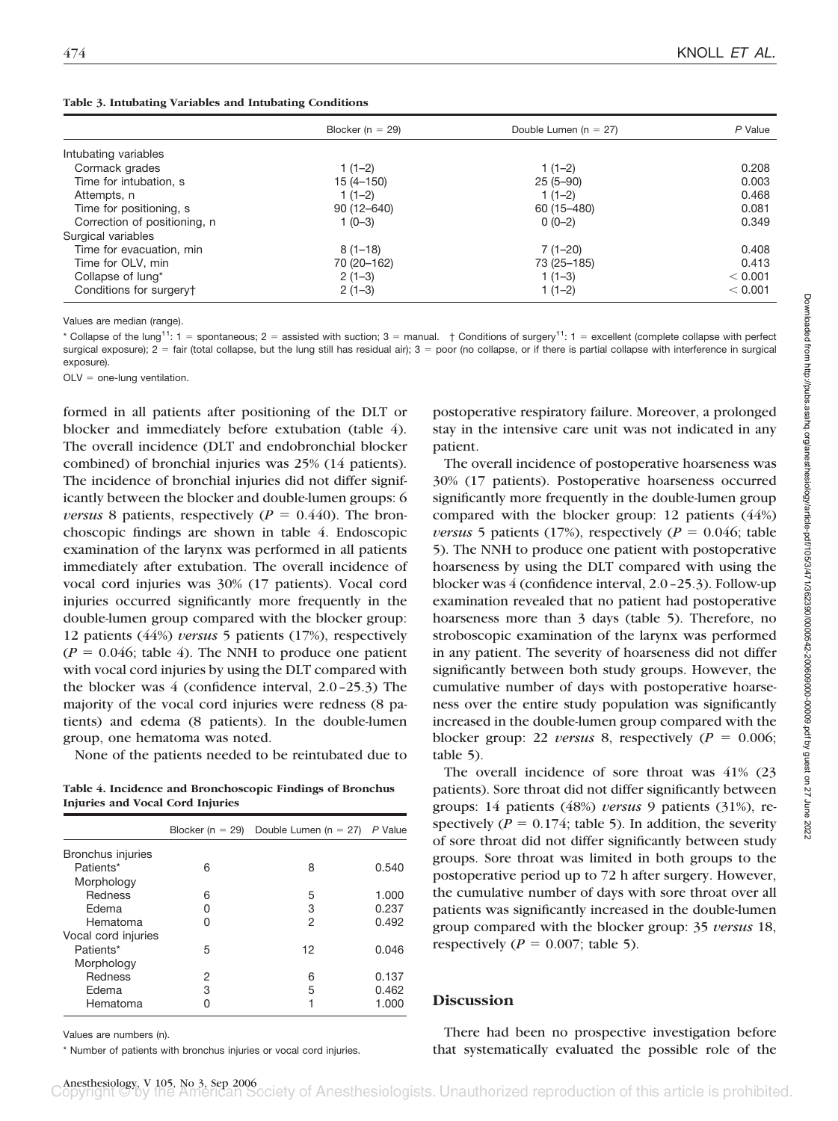| Table 3. Intubating Variables and Intubating Conditions |
|---------------------------------------------------------|
|---------------------------------------------------------|

|                              | Blocker ( $n = 29$ ) | Double Lumen ( $n = 27$ ) | P Value |
|------------------------------|----------------------|---------------------------|---------|
| Intubating variables         |                      |                           |         |
| Cormack grades               | $1(1-2)$             | $1(1-2)$                  | 0.208   |
| Time for intubation, s       | $15(4 - 150)$        | $25(5-90)$                | 0.003   |
| Attempts, n                  | $1(1-2)$             | $1(1-2)$                  | 0.468   |
| Time for positioning, s      | $90(12 - 640)$       | 60 (15 - 480)             | 0.081   |
| Correction of positioning, n | $1(0-3)$             | $0(0-2)$                  | 0.349   |
| Surgical variables           |                      |                           |         |
| Time for evacuation, min     | $8(1-18)$            | $7(1-20)$                 | 0.408   |
| Time for OLV, min            | 70 (20-162)          | 73 (25-185)               | 0.413   |
| Collapse of lung*            | $2(1-3)$             | $1(1-3)$                  | < 0.001 |
| Conditions for surgery†      | $2(1-3)$             | $1(1-2)$                  | < 0.001 |

Values are median (range).

\* Collapse of the lung<sup>11</sup>: 1 = spontaneous; 2 = assisted with suction; 3 = manual.  $\,$  + Conditions of surgery<sup>11</sup>: 1 = excellent (complete collapse with perfect surgical exposure); 2 = fair (total collapse, but the lung still has residual air); 3 = poor (no collapse, or if there is partial collapse with interference in surgical exposure).

 $OLV = one-lung ventilation.$ 

formed in all patients after positioning of the DLT or blocker and immediately before extubation (table 4). The overall incidence (DLT and endobronchial blocker combined) of bronchial injuries was 25% (14 patients). The incidence of bronchial injuries did not differ significantly between the blocker and double-lumen groups: 6 *versus* 8 patients, respectively ( $P = 0.440$ ). The bronchoscopic findings are shown in table 4. Endoscopic examination of the larynx was performed in all patients immediately after extubation. The overall incidence of vocal cord injuries was 30% (17 patients). Vocal cord injuries occurred significantly more frequently in the double-lumen group compared with the blocker group: 12 patients (44%) *versus* 5 patients (17%), respectively  $(P = 0.046;$  table 4). The NNH to produce one patient with vocal cord injuries by using the DLT compared with the blocker was 4 (confidence interval, 2.0–25.3) The majority of the vocal cord injuries were redness (8 patients) and edema (8 patients). In the double-lumen group, one hematoma was noted.

None of the patients needed to be reintubated due to

**Table 4. Incidence and Bronchoscopic Findings of Bronchus Injuries and Vocal Cord Injuries**

|                     | Blocker (n $= 29$ ) | Double Lumen $(n = 27)$ | P Value |
|---------------------|---------------------|-------------------------|---------|
| Bronchus injuries   |                     |                         |         |
| Patients*           | 6                   | 8                       | 0.540   |
| Morphology          |                     |                         |         |
| Redness             | 6                   | 5                       | 1.000   |
| Edema               | U                   | 3                       | 0.237   |
| Hematoma            | n                   | 2                       | 0.492   |
| Vocal cord injuries |                     |                         |         |
| Patients*           | 5                   | 12                      | 0.046   |
| Morphology          |                     |                         |         |
| Redness             | 2                   | 6                       | 0.137   |
| Edema               | З                   | 5                       | 0.462   |
| Hematoma            |                     |                         | 1.000   |

Values are numbers (n).

\* Number of patients with bronchus injuries or vocal cord injuries.

postoperative respiratory failure. Moreover, a prolonged stay in the intensive care unit was not indicated in any patient.

The overall incidence of postoperative hoarseness was 30% (17 patients). Postoperative hoarseness occurred significantly more frequently in the double-lumen group compared with the blocker group: 12 patients (44%) *versus* 5 patients (17%), respectively ( $P = 0.046$ ; table 5). The NNH to produce one patient with postoperative hoarseness by using the DLT compared with using the blocker was 4 (confidence interval, 2.0–25.3). Follow-up examination revealed that no patient had postoperative hoarseness more than 3 days (table 5). Therefore, no stroboscopic examination of the larynx was performed in any patient. The severity of hoarseness did not differ significantly between both study groups. However, the cumulative number of days with postoperative hoarseness over the entire study population was significantly increased in the double-lumen group compared with the blocker group: 22 *versus* 8, respectively ( $P = 0.006$ ; table 5).

The overall incidence of sore throat was 41% (23 patients). Sore throat did not differ significantly between groups: 14 patients (48%) *versus* 9 patients (31%), respectively ( $P = 0.174$ ; table 5). In addition, the severity of sore throat did not differ significantly between study groups. Sore throat was limited in both groups to the postoperative period up to 72 h after surgery. However, the cumulative number of days with sore throat over all patients was significantly increased in the double-lumen group compared with the blocker group: 35 *versus* 18, respectively ( $P = 0.007$ ; table 5).

# **Discussion**

There had been no prospective investigation before that systematically evaluated the possible role of the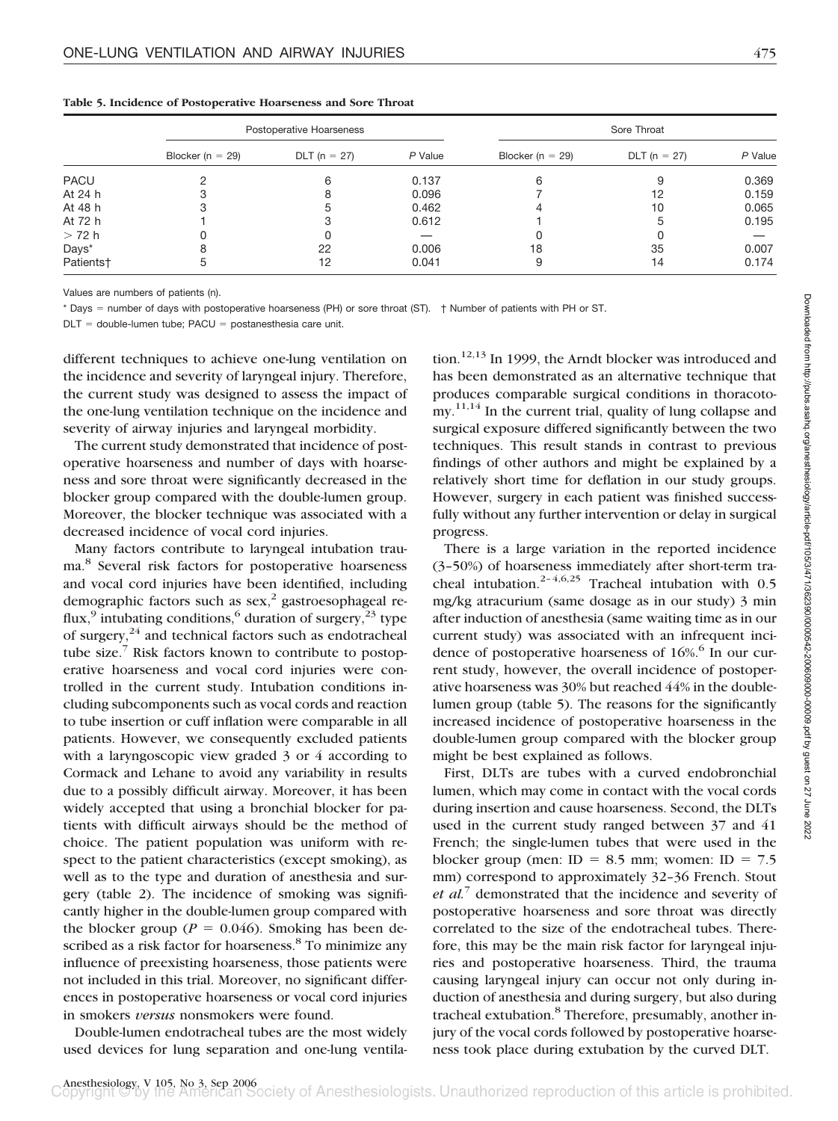|                       |                      | Postoperative Hoarseness |         |                      | Sore Throat    |         |  |
|-----------------------|----------------------|--------------------------|---------|----------------------|----------------|---------|--|
|                       | Blocker ( $n = 29$ ) | $DLT (n = 27)$           | P Value | Blocker ( $n = 29$ ) | $DLT (n = 27)$ | P Value |  |
| PACU                  |                      |                          | 0.137   | 6                    |                | 0.369   |  |
| At 24 h               |                      |                          | 0.096   |                      | 12             | 0.159   |  |
| At 48 h               |                      |                          | 0.462   |                      | 10             | 0.065   |  |
| At 72 h               |                      |                          | 0.612   |                      | 5              | 0.195   |  |
| > 72 h                |                      |                          |         |                      |                |         |  |
| Days*                 |                      | 22                       | 0.006   | 18                   | 35             | 0.007   |  |
| Patients <sup>+</sup> | 5                    |                          | 0.041   | 9                    | 14             | 0.174   |  |
|                       |                      |                          |         |                      |                |         |  |

**Table 5. Incidence of Postoperative Hoarseness and Sore Throat**

Values are numbers of patients (n).

\* Days = number of days with postoperative hoarseness (PH) or sore throat (ST). † Number of patients with PH or ST.

 $DLT =$  double-lumen tube; PACU = postanesthesia care unit.

different techniques to achieve one-lung ventilation on the incidence and severity of laryngeal injury. Therefore, the current study was designed to assess the impact of the one-lung ventilation technique on the incidence and severity of airway injuries and laryngeal morbidity.

The current study demonstrated that incidence of postoperative hoarseness and number of days with hoarseness and sore throat were significantly decreased in the blocker group compared with the double-lumen group. Moreover, the blocker technique was associated with a decreased incidence of vocal cord injuries.

Many factors contribute to laryngeal intubation trauma.<sup>8</sup> Several risk factors for postoperative hoarseness and vocal cord injuries have been identified, including demographic factors such as  $sex$ ,<sup>2</sup> gastroesophageal reflux,<sup>9</sup> intubating conditions,<sup>6</sup> duration of surgery,<sup>23</sup> type of surgery, $24$  and technical factors such as endotracheal tube size. $7$  Risk factors known to contribute to postoperative hoarseness and vocal cord injuries were controlled in the current study. Intubation conditions including subcomponents such as vocal cords and reaction to tube insertion or cuff inflation were comparable in all patients. However, we consequently excluded patients with a laryngoscopic view graded 3 or 4 according to Cormack and Lehane to avoid any variability in results due to a possibly difficult airway. Moreover, it has been widely accepted that using a bronchial blocker for patients with difficult airways should be the method of choice. The patient population was uniform with respect to the patient characteristics (except smoking), as well as to the type and duration of anesthesia and surgery (table 2). The incidence of smoking was significantly higher in the double-lumen group compared with the blocker group ( $P = 0.046$ ). Smoking has been described as a risk factor for hoarseness.<sup>8</sup> To minimize any influence of preexisting hoarseness, those patients were not included in this trial. Moreover, no significant differences in postoperative hoarseness or vocal cord injuries in smokers *versus* nonsmokers were found.

Double-lumen endotracheal tubes are the most widely used devices for lung separation and one-lung ventila-

tion.<sup>12,13</sup> In 1999, the Arndt blocker was introduced and has been demonstrated as an alternative technique that produces comparable surgical conditions in thoracotomy.<sup>11,14</sup> In the current trial, quality of lung collapse and surgical exposure differed significantly between the two techniques. This result stands in contrast to previous findings of other authors and might be explained by a relatively short time for deflation in our study groups. However, surgery in each patient was finished successfully without any further intervention or delay in surgical progress.

There is a large variation in the reported incidence (3–50%) of hoarseness immediately after short-term tracheal intubation.<sup>2-4,6,25</sup> Tracheal intubation with  $0.5$ mg/kg atracurium (same dosage as in our study) 3 min after induction of anesthesia (same waiting time as in our current study) was associated with an infrequent incidence of postoperative hoarseness of 16%.<sup>6</sup> In our current study, however, the overall incidence of postoperative hoarseness was 30% but reached 44% in the doublelumen group (table 5). The reasons for the significantly increased incidence of postoperative hoarseness in the double-lumen group compared with the blocker group might be best explained as follows.

First, DLTs are tubes with a curved endobronchial lumen, which may come in contact with the vocal cords during insertion and cause hoarseness. Second, the DLTs used in the current study ranged between 37 and 41 French; the single-lumen tubes that were used in the blocker group (men: ID =  $8.5$  mm; women: ID =  $7.5$ mm) correspond to approximately 32–36 French. Stout *et al.*<sup>7</sup> demonstrated that the incidence and severity of postoperative hoarseness and sore throat was directly correlated to the size of the endotracheal tubes. Therefore, this may be the main risk factor for laryngeal injuries and postoperative hoarseness. Third, the trauma causing laryngeal injury can occur not only during induction of anesthesia and during surgery, but also during tracheal extubation.<sup>8</sup> Therefore, presumably, another injury of the vocal cords followed by postoperative hoarseness took place during extubation by the curved DLT.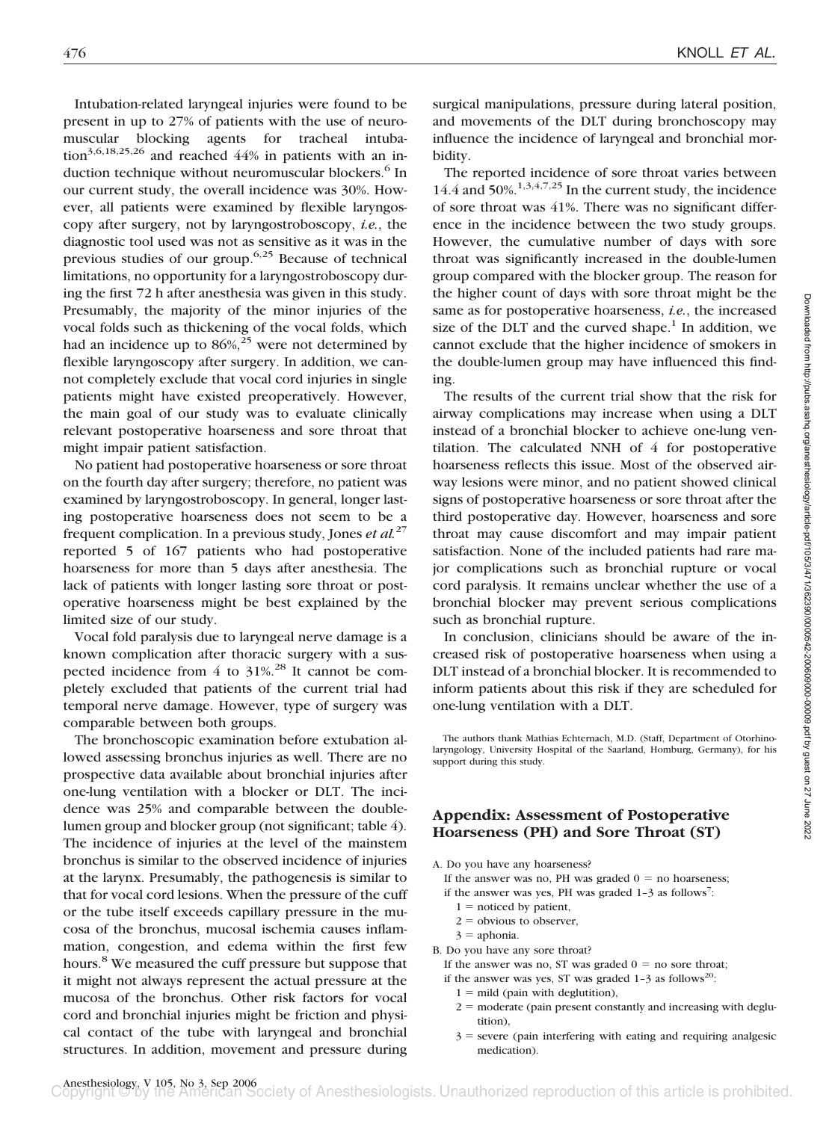Intubation-related laryngeal injuries were found to be present in up to 27% of patients with the use of neuromuscular blocking agents for tracheal intubation<sup>3,6,18,25,26</sup> and reached 44% in patients with an induction technique without neuromuscular blockers.<sup>6</sup> In our current study, the overall incidence was 30%. However, all patients were examined by flexible laryngoscopy after surgery, not by laryngostroboscopy, *i.e.*, the diagnostic tool used was not as sensitive as it was in the previous studies of our group.6,25 Because of technical limitations, no opportunity for a laryngostroboscopy during the first 72 h after anesthesia was given in this study. Presumably, the majority of the minor injuries of the vocal folds such as thickening of the vocal folds, which had an incidence up to  $86\frac{\%}{25}$  were not determined by flexible laryngoscopy after surgery. In addition, we cannot completely exclude that vocal cord injuries in single patients might have existed preoperatively. However, the main goal of our study was to evaluate clinically relevant postoperative hoarseness and sore throat that might impair patient satisfaction.

No patient had postoperative hoarseness or sore throat on the fourth day after surgery; therefore, no patient was examined by laryngostroboscopy. In general, longer lasting postoperative hoarseness does not seem to be a frequent complication. In a previous study, Jones *et al.*<sup>27</sup> reported 5 of 167 patients who had postoperative hoarseness for more than 5 days after anesthesia. The lack of patients with longer lasting sore throat or postoperative hoarseness might be best explained by the limited size of our study.

Vocal fold paralysis due to laryngeal nerve damage is a known complication after thoracic surgery with a suspected incidence from  $4$  to  $31\%$ .<sup>28</sup> It cannot be completely excluded that patients of the current trial had temporal nerve damage. However, type of surgery was comparable between both groups.

The bronchoscopic examination before extubation allowed assessing bronchus injuries as well. There are no prospective data available about bronchial injuries after one-lung ventilation with a blocker or DLT. The incidence was 25% and comparable between the doublelumen group and blocker group (not significant; table 4). The incidence of injuries at the level of the mainstem bronchus is similar to the observed incidence of injuries at the larynx. Presumably, the pathogenesis is similar to that for vocal cord lesions. When the pressure of the cuff or the tube itself exceeds capillary pressure in the mucosa of the bronchus, mucosal ischemia causes inflammation, congestion, and edema within the first few hours.<sup>8</sup> We measured the cuff pressure but suppose that it might not always represent the actual pressure at the mucosa of the bronchus. Other risk factors for vocal cord and bronchial injuries might be friction and physical contact of the tube with laryngeal and bronchial structures. In addition, movement and pressure during

surgical manipulations, pressure during lateral position, and movements of the DLT during bronchoscopy may influence the incidence of laryngeal and bronchial morbidity.

The reported incidence of sore throat varies between 14.4 and  $50\%$ <sup>1,3,4,7,25</sup> In the current study, the incidence of sore throat was 41%. There was no significant difference in the incidence between the two study groups. However, the cumulative number of days with sore throat was significantly increased in the double-lumen group compared with the blocker group. The reason for the higher count of days with sore throat might be the same as for postoperative hoarseness, *i.e.*, the increased size of the DLT and the curved shape. $1$  In addition, we cannot exclude that the higher incidence of smokers in the double-lumen group may have influenced this finding.

The results of the current trial show that the risk for airway complications may increase when using a DLT instead of a bronchial blocker to achieve one-lung ventilation. The calculated NNH of 4 for postoperative hoarseness reflects this issue. Most of the observed airway lesions were minor, and no patient showed clinical signs of postoperative hoarseness or sore throat after the third postoperative day. However, hoarseness and sore throat may cause discomfort and may impair patient satisfaction. None of the included patients had rare major complications such as bronchial rupture or vocal cord paralysis. It remains unclear whether the use of a bronchial blocker may prevent serious complications such as bronchial rupture.

In conclusion, clinicians should be aware of the increased risk of postoperative hoarseness when using a DLT instead of a bronchial blocker. It is recommended to inform patients about this risk if they are scheduled for one-lung ventilation with a DLT.

The authors thank Mathias Echternach, M.D. (Staff, Department of Otorhinolaryngology, University Hospital of the Saarland, Homburg, Germany), for his support during this study.

# **Appendix: Assessment of Postoperative Hoarseness (PH) and Sore Throat (ST)**

A. Do you have any hoarseness?

- If the answer was no, PH was graded  $0 =$  no hoarseness;
- if the answer was yes, PH was graded  $1-3$  as follows<sup>7</sup>:
- $1 =$  noticed by patient,
- $2 =$  obvious to observer,
- $3$  = aphonia.

B. Do you have any sore throat?

- If the answer was no, ST was graded  $0 =$  no sore throat;
- if the answer was yes, ST was graded  $1-3$  as follows<sup>20</sup>:
	- $1 =$  mild (pain with deglutition),
	- $2 =$  moderate (pain present constantly and increasing with deglutition),
	- $3$  = severe (pain interfering with eating and requiring analgesic medication).